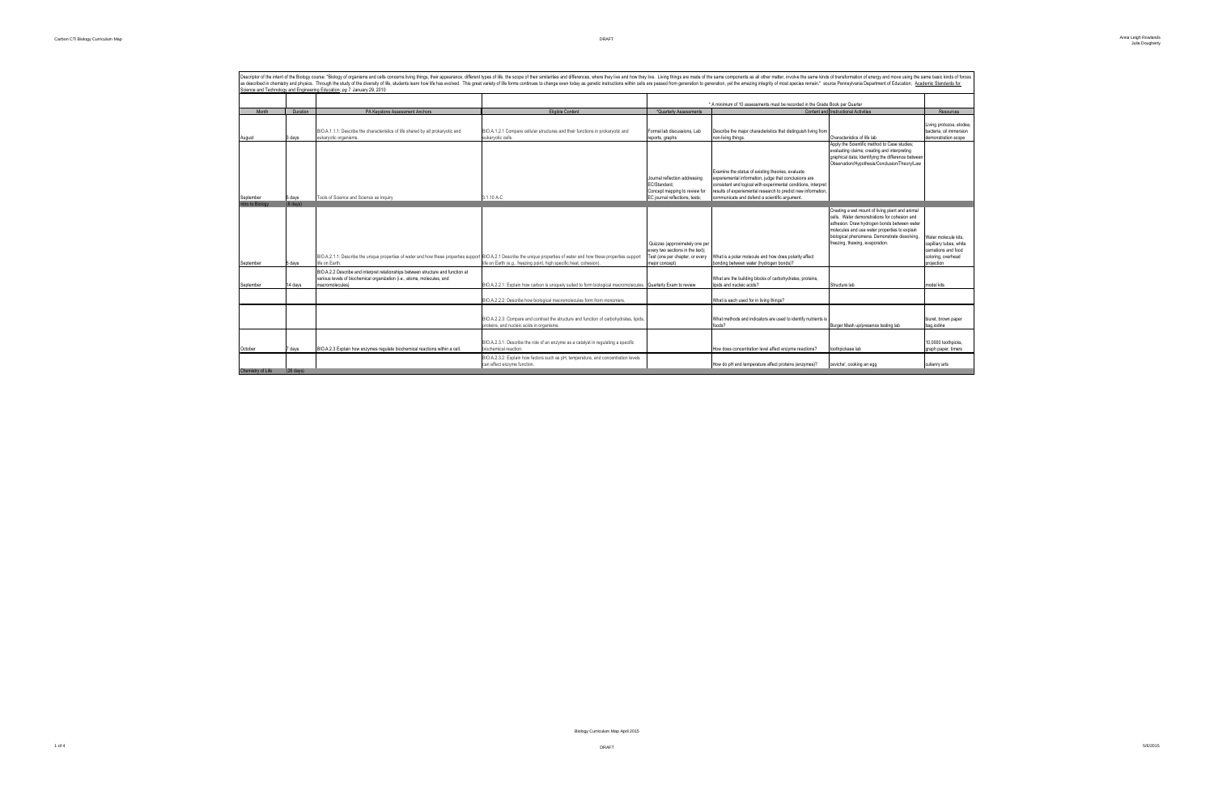|                  |                    |                                                                                                                                                                          |                                                                                                                |                                  | * A minimum of 10 assessments must be recorded in the Grade Book per Quarter |                                                    |                         |
|------------------|--------------------|--------------------------------------------------------------------------------------------------------------------------------------------------------------------------|----------------------------------------------------------------------------------------------------------------|----------------------------------|------------------------------------------------------------------------------|----------------------------------------------------|-------------------------|
| Month            | Duration           | PA Keystone Assessment Anchors                                                                                                                                           | <b>Eligible Content</b>                                                                                        | *Quarterly Assessments           |                                                                              | Content and Instructional Activities               | Resources               |
|                  |                    |                                                                                                                                                                          |                                                                                                                |                                  |                                                                              |                                                    |                         |
|                  |                    |                                                                                                                                                                          |                                                                                                                |                                  |                                                                              |                                                    | Living protozoa, elodea |
|                  |                    | BIO.A.1.1.1: Describe the characteristics of life shared by all prokaryotic and                                                                                          | BIO.A.1.2.1 Compare cellular structures and their functions in prokaryotic and                                 | Formal lab discussions, Lab      | Describe the major characteristics that distinguish living from              |                                                    | bacteria, oil immersion |
| August           | 3 days             | eukaryotic organisms.                                                                                                                                                    | eukaryotic cells                                                                                               | reports, graphs                  | non-living things.                                                           | Characteristics of life lab                        | demonstration scope     |
|                  |                    |                                                                                                                                                                          |                                                                                                                |                                  |                                                                              | Apply the Scientific method to Case studies;       |                         |
|                  |                    |                                                                                                                                                                          |                                                                                                                |                                  |                                                                              | evaluating claims; creating and interpreting       |                         |
|                  |                    |                                                                                                                                                                          |                                                                                                                |                                  |                                                                              | graphical data; Identifying the difference between |                         |
|                  |                    |                                                                                                                                                                          |                                                                                                                |                                  |                                                                              | Observation/Hypothesis/Conclusion/Theory/Law       |                         |
|                  |                    |                                                                                                                                                                          |                                                                                                                |                                  | Examine the status of existing theories, evaluate                            |                                                    |                         |
|                  |                    |                                                                                                                                                                          |                                                                                                                | Journal reflection addressing    | experiemental information, judge that conclusions are                        |                                                    |                         |
|                  |                    |                                                                                                                                                                          |                                                                                                                | FC/Standard:                     | consistent and logical with experimental conditions, interpret               |                                                    |                         |
|                  |                    |                                                                                                                                                                          |                                                                                                                | Concept mapping to review for    | results of experiemental research to predict new information,                |                                                    |                         |
| September        | 5 days             | Tools of Science and Science as Inquiry                                                                                                                                  | 3.1.10 A-C                                                                                                     | EC journal reflections, tests;   | communicate and defend a scientific argument.                                |                                                    |                         |
| Intro to Biology | $(8 \text{ days})$ |                                                                                                                                                                          |                                                                                                                |                                  |                                                                              |                                                    |                         |
|                  |                    |                                                                                                                                                                          |                                                                                                                |                                  |                                                                              | Creating a wet mount of living plant and animal    |                         |
|                  |                    |                                                                                                                                                                          |                                                                                                                |                                  |                                                                              | cells. Water demonstrations for cohesion and       |                         |
|                  |                    |                                                                                                                                                                          |                                                                                                                |                                  |                                                                              | adhesion. Draw hydrogen bonds between water        |                         |
|                  |                    |                                                                                                                                                                          |                                                                                                                |                                  |                                                                              |                                                    |                         |
|                  |                    |                                                                                                                                                                          |                                                                                                                |                                  |                                                                              | molecules and use water properties to explain      |                         |
|                  |                    |                                                                                                                                                                          |                                                                                                                |                                  |                                                                              | biological phenomena. Demonstrate dissolving,      | Water molecule kits.    |
|                  |                    |                                                                                                                                                                          |                                                                                                                | Quizzes (approximately one per   |                                                                              | freezing, thawing, evaporation.                    | capilliary tubes, white |
|                  |                    |                                                                                                                                                                          |                                                                                                                | every two sections in the text); |                                                                              |                                                    | carnations and food     |
|                  |                    | BIO.A.2.1.1: Describe the unique properties of water and how these properties support BIO.A.2.1 Describe the unique properties of water and how these properties support |                                                                                                                | Test (one per chapter, or every  | What is a polar molecule and how does polarity affect                        |                                                    | coloring, overhead      |
| September        | 5 days             | life on Earth.                                                                                                                                                           | life on Earth (e.g., freezing point, high specific heat, cohesion).                                            | major concept)                   | bonding between water (hydrogen bonds)?                                      |                                                    | projection              |
|                  |                    | BIO.A.2.2 Describe and interpret relationships between structure and function at                                                                                         |                                                                                                                |                                  |                                                                              |                                                    |                         |
|                  |                    | various levels of biochemical organization (i.e., atoms, molecules, and                                                                                                  |                                                                                                                |                                  | What are the building blocks of carbohydrates, proteins,                     |                                                    |                         |
| September        | 14 days            | macromolecules)                                                                                                                                                          | BIO.A.2.2.1: Explain how carbon is uniquely suited to form biological macromolecules. Quarterly Exam to review |                                  | lipids and nucleic acids?                                                    | Structure lab                                      | model kits              |
|                  |                    |                                                                                                                                                                          |                                                                                                                |                                  |                                                                              |                                                    |                         |
|                  |                    |                                                                                                                                                                          |                                                                                                                |                                  |                                                                              |                                                    |                         |
|                  |                    |                                                                                                                                                                          | BIO.A.2.2.2: Describe how biological macromolecules form from monomers.                                        |                                  | What is each used for in living things?                                      |                                                    |                         |
|                  |                    |                                                                                                                                                                          |                                                                                                                |                                  |                                                                              |                                                    |                         |
|                  |                    |                                                                                                                                                                          |                                                                                                                |                                  |                                                                              |                                                    |                         |
|                  |                    |                                                                                                                                                                          | BIO.A.2.2.3: Compare and contrast the structure and function of carbohydrates, lipids,                         |                                  | What methods and indicators are used to identify nutrients is                |                                                    | biuret, brown paper     |
|                  |                    |                                                                                                                                                                          | proteins, and nucleic acids in organisms                                                                       |                                  | foods?                                                                       | Burger Mash up/presence testing lab                | bag.jodine              |
|                  |                    |                                                                                                                                                                          |                                                                                                                |                                  |                                                                              |                                                    |                         |
|                  |                    |                                                                                                                                                                          |                                                                                                                |                                  |                                                                              |                                                    |                         |
| October          |                    |                                                                                                                                                                          | BIO.A.2.3.1: Describe the role of an enzyme as a catalyst in regulating a specific                             |                                  |                                                                              |                                                    | 10,0000 toothpicks,     |
|                  | 7 days             | BIO.A.2.3 Explain how enzymes regulate biochemical reactions within a cell.                                                                                              | biochemical reaction.                                                                                          |                                  | How does concentration level affect enzyme reactions?                        | toothpickase lab                                   | graph paper, timers     |
|                  |                    |                                                                                                                                                                          | BIO.A.2.3.2: Explain how factors such as pH, temperature, and concentration levels                             |                                  |                                                                              |                                                    |                         |
|                  |                    |                                                                                                                                                                          | can affect enzyme function.                                                                                    |                                  | How do pH and temperature affect proteins (enzymes)?                         | ceviche', cooking an egg                           | culianry arts           |
|                  |                    |                                                                                                                                                                          |                                                                                                                |                                  |                                                                              |                                                    |                         |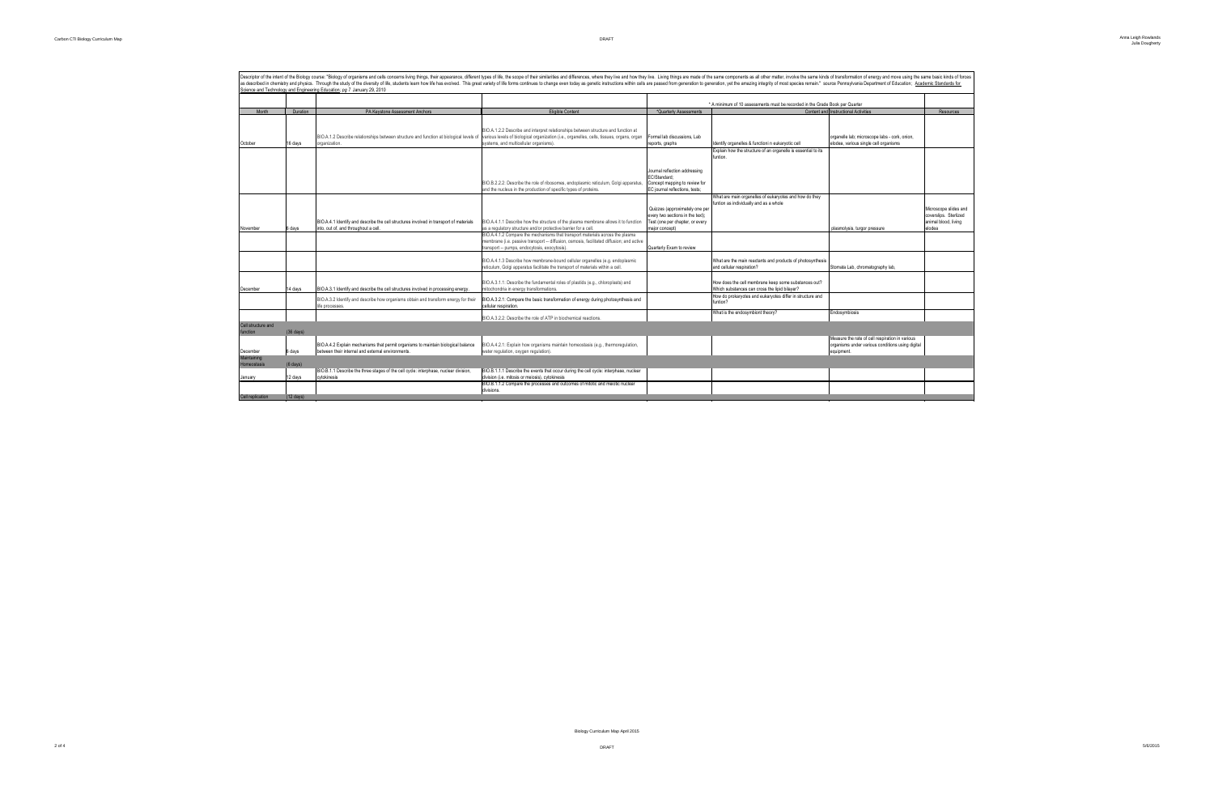|                                |                     | Descriptor of the intent of the Biology course: "Biology of organisms and cells concerns living things, their appearance, different types of lifie, the scope of their similarities and differences, where they live and how t<br>as described in chemistry and physics. Through the study of the diversity of life, students learn how life has evolved. This great variety of life is reaty varies of hange even today as genetic instructions within cells ar<br>Science and Technology and Engineering Education; pg 7 January 29, 2010 |                                                                                                                                                                                                                             |                                                                                                                         |                                                                                                                    |                                                                                                                  |                                                                                  |
|--------------------------------|---------------------|---------------------------------------------------------------------------------------------------------------------------------------------------------------------------------------------------------------------------------------------------------------------------------------------------------------------------------------------------------------------------------------------------------------------------------------------------------------------------------------------------------------------------------------------|-----------------------------------------------------------------------------------------------------------------------------------------------------------------------------------------------------------------------------|-------------------------------------------------------------------------------------------------------------------------|--------------------------------------------------------------------------------------------------------------------|------------------------------------------------------------------------------------------------------------------|----------------------------------------------------------------------------------|
|                                |                     |                                                                                                                                                                                                                                                                                                                                                                                                                                                                                                                                             |                                                                                                                                                                                                                             |                                                                                                                         |                                                                                                                    |                                                                                                                  |                                                                                  |
|                                |                     |                                                                                                                                                                                                                                                                                                                                                                                                                                                                                                                                             |                                                                                                                                                                                                                             |                                                                                                                         | * A minimum of 10 assessments must be recorded in the Grade Book per Quarter                                       | Content and Instructional Activities                                                                             |                                                                                  |
| Month                          | Duration            | PA Keystone Assessment Anchors                                                                                                                                                                                                                                                                                                                                                                                                                                                                                                              | <b>Eligible Content</b>                                                                                                                                                                                                     | *Quarterly Assessments                                                                                                  |                                                                                                                    |                                                                                                                  | <b>Resources</b>                                                                 |
| October                        | 16 days             | BIO.A.1.2 Describe relationships between structure and function at biological levels of<br>organization.                                                                                                                                                                                                                                                                                                                                                                                                                                    | BIO.A.1.2.2 Describe and interpret relationships between structure and function at<br>various levels of biological organization (i.e., organelles, cells, tissues, organs, organ<br>systems, and multicellular organisms).  | Formal lab discussions, Lab<br>reports, graphs                                                                          | Identify organelles & functioni n eukaryotic cell<br>Explain how the structure of an organelle is essential to its | organelle lab; microscope labs - cork, onion,<br>elodea, various single cell organisms                           |                                                                                  |
|                                |                     |                                                                                                                                                                                                                                                                                                                                                                                                                                                                                                                                             | BIO.B.2.2.2: Describe the role of ribosomes, endoplasmic reticulum, Golgi apparatus,<br>and the nucleus in the production of specific types of proteins                                                                     | Journal reflection addressing<br>EC/Standard:<br>Concept mapping to review for<br>EC journal reflections, tests;        | funtion.                                                                                                           |                                                                                                                  |                                                                                  |
| November                       | 6 days              | BIO.A.4.1 Identify and describe the cell structures involved in transport of materials<br>into, out of, and throughout a cell.                                                                                                                                                                                                                                                                                                                                                                                                              | BIO.A.4.1.1 Describe how the structure of the plasma membrane allows it to function<br>as a regulatory structure and/or protective barrier for a cell.                                                                      | Quizzes (approximately one per<br>every two sections in the text);<br>Test (one per chapter, or every<br>major concept) | What are main organelles of eukaryotes and how do they<br>funtion as individually and as a whole                   | plasmolysis, turgor pressure                                                                                     | Microscope slides and<br>coverslips. Sterlized<br>animal blood, living<br>elodea |
|                                |                     |                                                                                                                                                                                                                                                                                                                                                                                                                                                                                                                                             | BIO.A.4.1.2 Compare the mechanisms that transport materials across the plasma<br>membrane (i.e. passive transport -- diffusion, osmosis, facilitated diffusion; and active<br>transport -- pumps, endocytosis, exocytosis). | Quarterly Exam to review                                                                                                |                                                                                                                    |                                                                                                                  |                                                                                  |
|                                |                     |                                                                                                                                                                                                                                                                                                                                                                                                                                                                                                                                             | BIO.A.4.1.3 Describe how membrane-bound cellular organelles (e.g. endoplasmic<br>reticulum, Golgi apparatus facilitate the transport of materials within a cell.                                                            |                                                                                                                         | What are the main reactants and products of photosynthesis<br>and cellular respiration?                            | Stomata Lab, chromatography lab,                                                                                 |                                                                                  |
| December                       | 14 davs             | BIO.A.3.1 Identify and describe the cell structures involved in processing energy.                                                                                                                                                                                                                                                                                                                                                                                                                                                          | BIO.A.3.1.1: Describe the fundamental roles of plastids (e.g., chloroplasts) and<br>mitochondria in energy transformations.                                                                                                 |                                                                                                                         | How does the cell membrane keep some substances out?<br>Which substances can cross the lipid bilaver?              |                                                                                                                  |                                                                                  |
|                                |                     | BIO.A.3.2 Identify and describe how organisms obtain and transform energy for their<br>life processes.                                                                                                                                                                                                                                                                                                                                                                                                                                      | BIO.A.3.2.1: Compare the basic transformation of energy during photosynthesis and<br>cellular respiration.                                                                                                                  |                                                                                                                         | How do prokaryotes and eukaryotes differ in structure and<br>funtion?                                              |                                                                                                                  |                                                                                  |
|                                |                     |                                                                                                                                                                                                                                                                                                                                                                                                                                                                                                                                             | BIO.A.3.2.2: Describe the role of ATP in biochemical reactions                                                                                                                                                              |                                                                                                                         | What is the endosymbiont theory?                                                                                   | Endosymbiosis                                                                                                    |                                                                                  |
| Cell structure and<br>function | $(36 \text{ days})$ |                                                                                                                                                                                                                                                                                                                                                                                                                                                                                                                                             |                                                                                                                                                                                                                             |                                                                                                                         |                                                                                                                    |                                                                                                                  |                                                                                  |
| December                       | 6 days              | BIO.A.4.2 Explain mechanisms that permit organisms to maintain biological balance<br>between their internal and external environments.                                                                                                                                                                                                                                                                                                                                                                                                      | BIO.A.4.2.1: Explain how organisms maintain homeostasis (e.g., thermoregulation,<br>water regulation, oxygen regulation).                                                                                                   |                                                                                                                         |                                                                                                                    | Measure the rate of cell respiration in various<br>organisms under various conditions using digital<br>equipment |                                                                                  |
| Maintaining<br>Homeostasis     | $(6 \text{ days})$  |                                                                                                                                                                                                                                                                                                                                                                                                                                                                                                                                             |                                                                                                                                                                                                                             |                                                                                                                         |                                                                                                                    |                                                                                                                  |                                                                                  |
| January                        | 12 days             | BIO.B.1.1 Describe the three stages of the cell cycle: interphase, nuclear division,<br>cytokinesis                                                                                                                                                                                                                                                                                                                                                                                                                                         | BIO.B.1.1.1 Describe the events that occur during the cell cycle: interphase, nuclear<br>division (i.e. mitosis or meiosis), cytokinesis                                                                                    |                                                                                                                         |                                                                                                                    |                                                                                                                  |                                                                                  |
|                                |                     |                                                                                                                                                                                                                                                                                                                                                                                                                                                                                                                                             | BIO.B.1.1.2 Compare the processes and outcomes of mitotic and meiotic nuclear<br>divisions.                                                                                                                                 |                                                                                                                         |                                                                                                                    |                                                                                                                  |                                                                                  |
| Cell replication               | $(12$ days)         |                                                                                                                                                                                                                                                                                                                                                                                                                                                                                                                                             |                                                                                                                                                                                                                             |                                                                                                                         |                                                                                                                    |                                                                                                                  |                                                                                  |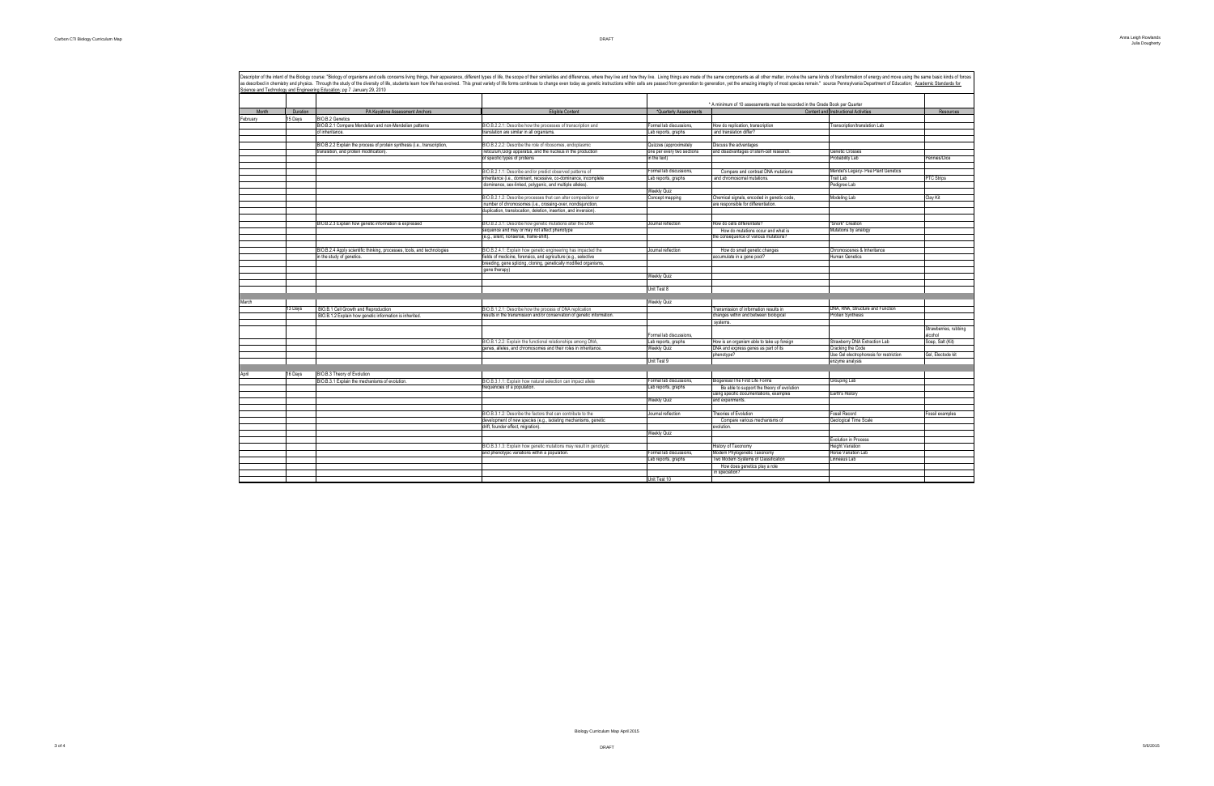|         |          | Science and Technology and Engineering Education: pg 7 January 29, 2010  |                                                                         |                                                                              |                                                                      |                                         |                    |
|---------|----------|--------------------------------------------------------------------------|-------------------------------------------------------------------------|------------------------------------------------------------------------------|----------------------------------------------------------------------|-----------------------------------------|--------------------|
|         |          |                                                                          |                                                                         | * A minimum of 10 assessments must be recorded in the Grade Book per Quarter |                                                                      |                                         |                    |
| Month   | Duration | PA Keystone Assessment Anchors                                           | Eligible Content                                                        | *Quarterly Assessments                                                       |                                                                      | Content and Instructional Activities    | Resources          |
| ebruary | 15 Days  | BIO.B.2 Genetics                                                         |                                                                         |                                                                              |                                                                      |                                         |                    |
|         |          | BIO.B.2.1 Compare Mendelian and non-Mendelian patterns                   | BIO.B.2.2.1: Describe how the processes of transcription and            | Formal lab discussions,                                                      | low do replication, transcription                                    | ranscription/translation Lab            |                    |
|         |          | of inheritance.                                                          | translation are similar in all organisms.                               | Lab reports, graphs                                                          | and translation differ?                                              |                                         |                    |
|         |          |                                                                          |                                                                         |                                                                              |                                                                      |                                         |                    |
|         |          | BIO.B.2.2 Explain the process of protein synthesis (i.e., transcription, | BIO.B.2.2.2: Describe the role of ribosomes, endoplasmic                | Quizzes (approximately                                                       | liscuss the advantages                                               |                                         |                    |
|         |          | translation, and protein modification)                                   | reticulum, Golgi apparatus, and the nucleus in the production           | one per every two sections                                                   | and disadvantages of stem-cell research.                             | Genetic Crosses                         |                    |
|         |          |                                                                          | of specific types of proteins                                           | in the text)                                                                 |                                                                      | Probability Lab                         | Pennies/Dice       |
|         |          |                                                                          |                                                                         |                                                                              |                                                                      |                                         |                    |
|         |          |                                                                          | BIO.B.2.1.1: Describe and/or predict observed patterns of               | Formal lab discussions,                                                      | Compare and contrast DNA mutations                                   | Mendel's Legacy- Pea Plant Genetics     |                    |
|         |          |                                                                          | inheritance (i.e., dominant, recessive, co-dominance, incomplete        | Lab reports, graphs                                                          | and chromosomal mutations.                                           | Trait Lab                               | PTC Strips         |
|         |          |                                                                          | dominance, sex-linked, polygenic, and multiple alleles).                |                                                                              |                                                                      | Pedigree Lab                            |                    |
|         |          |                                                                          |                                                                         | <b>Weekly Quiz</b>                                                           |                                                                      |                                         |                    |
|         |          |                                                                          | BIO.B.2.1.2: Describe processes that can alter composition or           | Concept mapping                                                              | Chemical signals, encoded in genetic code.                           | Modeling Lab                            | Clay Kit           |
|         |          |                                                                          | number of chromosomes (i.e., crossing-over, nondisjunction,             |                                                                              | are responsible for differentiation.                                 |                                         |                    |
|         |          |                                                                          | duplication, translocation, deletion, insertion, and inversion).        |                                                                              |                                                                      |                                         |                    |
|         |          |                                                                          |                                                                         |                                                                              |                                                                      |                                         |                    |
|         |          | BIO.B.2.3 Explain how genetic information is expressed                   | BIO.B.2.3.1: Describe how genetic mutations alter the DNA               | Journal reflection                                                           | How do cells differentiate?                                          | "Snork" Creation                        |                    |
|         |          |                                                                          | sequence and may or may not affect phenotype                            |                                                                              | How do mutations occur and what is                                   | Mutations by analogy                    |                    |
|         |          |                                                                          | (e.g., silent, nonsense, frame-shift)                                   |                                                                              | he consequence of various mutations?                                 |                                         |                    |
|         |          |                                                                          |                                                                         |                                                                              |                                                                      |                                         |                    |
|         |          | BIO.B.2.4 Apply scientific thinking, processes, tools, and technologies  | BIO.B.2.4.1: Explain how genetic engineering has impacted the           | Journal reflection                                                           | How do small genetic changes                                         | Chromososnes & Inheritance              |                    |
|         |          | in the study of genetics.                                                | fields of medicine, forensics, and agriculture (e.g., selective         |                                                                              | ccumulate in a gene pool?                                            | Human Genetics                          |                    |
|         |          |                                                                          | breeding, gene splicing, cloning, genetically modified organisms,       |                                                                              |                                                                      |                                         |                    |
|         |          |                                                                          | gene therapy)                                                           | <b>Weekly Quiz</b>                                                           |                                                                      |                                         |                    |
|         |          |                                                                          |                                                                         |                                                                              |                                                                      |                                         |                    |
|         |          |                                                                          |                                                                         | Unit Test 8                                                                  |                                                                      |                                         |                    |
|         |          |                                                                          |                                                                         |                                                                              |                                                                      |                                         |                    |
| March   |          |                                                                          |                                                                         | <b>Weekly Quiz</b>                                                           |                                                                      |                                         |                    |
|         | 13 Days  | BIO.B.1 Cell Growth and Reproduction                                     | BIO.B.1.2.1: Describe how the process of DNA replication                |                                                                              | Transmission of information results in                               | DNA, RNA, Structure and Function        |                    |
|         |          | BIO.B.1.2 Explain how genetic information is inherited.                  | results in the transmission and/or conservation of genetic information. |                                                                              | changes within and between biological                                | Protien Synthesis                       |                    |
|         |          |                                                                          |                                                                         |                                                                              | systems.                                                             |                                         |                    |
|         |          |                                                                          |                                                                         |                                                                              |                                                                      |                                         | Strawberries, rubl |
|         |          |                                                                          |                                                                         | Formal lab discussions,                                                      |                                                                      |                                         | alcohol            |
|         |          |                                                                          | BIO.B.1.2.2: Explain the functional relationships among DNA.            | Lab reports, graphs                                                          | How is an organism able to take up foreign                           | Strawberry DNA Extraction Lab           | Soap, Salt (Kit)   |
|         |          |                                                                          | genes, alleles, and chromosomes and their roles in inheritance.         | <b>Weekly Quiz</b>                                                           | DNA and express genes as part of its                                 | Cracking the Code                       |                    |
|         |          |                                                                          |                                                                         |                                                                              | phenotype?                                                           | Use Gel electrophoresis for restriction | Gel. Electode kit  |
|         |          |                                                                          |                                                                         | Unit Test 9                                                                  |                                                                      | enzyme analysis                         |                    |
|         |          |                                                                          |                                                                         |                                                                              |                                                                      |                                         |                    |
| April   | 16 Days  | BIO.B.3 Theory of Evolution                                              |                                                                         |                                                                              |                                                                      |                                         |                    |
|         |          | BIO.B.3.1 Explain the mechanisms of evolution.                           | BIO.B.3.1.1: Explain how natural selection can impact allele            | Formal lab discussions.                                                      | Biogenisis/The First Life Forms                                      | Grouping Lab                            |                    |
|         |          |                                                                          | frequencies of a population                                             | Lab reports, graphs                                                          | Be able to support the theory of evolution                           |                                         |                    |
|         |          |                                                                          |                                                                         |                                                                              | using specific documentations, examples                              | Earth's History                         |                    |
|         |          |                                                                          |                                                                         | <b>Weekly Quiz</b>                                                           | and experiments.                                                     |                                         |                    |
|         |          |                                                                          |                                                                         |                                                                              |                                                                      |                                         |                    |
|         |          |                                                                          | BIO.B.3.1.2: Describe the factors that can contribute to the            | Journal reflection                                                           | Theories of Evolution                                                | Fossil Record                           | Fossil examples    |
|         |          |                                                                          | development of new species (e.g., isolating mechanisms, genetic         |                                                                              | Compare various mechanisms of                                        | Geological Time Scale                   |                    |
|         |          |                                                                          | drift, founder effect, migration).                                      |                                                                              | evolution.                                                           |                                         |                    |
|         |          |                                                                          |                                                                         | <b>Weekly Quiz</b>                                                           |                                                                      |                                         |                    |
|         |          |                                                                          |                                                                         |                                                                              |                                                                      | <b>Evolution in Process</b>             |                    |
|         |          |                                                                          |                                                                         |                                                                              |                                                                      |                                         |                    |
|         |          |                                                                          | BIO.B.3.1.3: Explain how genetic mutations may result in genotypic      |                                                                              | listory of Taxonomy                                                  | <b>Height Variation</b>                 |                    |
|         |          |                                                                          | and phenotypic variations within a population                           | Formal lab discussions.<br>Lab reports, graphs                               | Modern Phylogenetic Taxonomy<br>Two Modern Systems of Classification | Horse Variation Lab<br>Linneaus Lab     |                    |

Descriptor of the intent of the Biology course: "Biology of organisms and cells concerns living things, their appearance, different types of life, the scope of their similarities and differences, where they live and how th as described in chemistry and physics. Through the study of the diversity of life, students learn how life has evolved. This great variety of life forms continues to change even today as genetic instructions within cells a

| and move using the same basic kinds of forces<br>nt of Education; Academic Standards for |                       |  |  |  |  |
|------------------------------------------------------------------------------------------|-----------------------|--|--|--|--|
|                                                                                          |                       |  |  |  |  |
|                                                                                          | Resources             |  |  |  |  |
| J                                                                                        |                       |  |  |  |  |
|                                                                                          |                       |  |  |  |  |
|                                                                                          |                       |  |  |  |  |
|                                                                                          |                       |  |  |  |  |
|                                                                                          |                       |  |  |  |  |
|                                                                                          | Pennies/Dice          |  |  |  |  |
|                                                                                          |                       |  |  |  |  |
| Genetics                                                                                 |                       |  |  |  |  |
|                                                                                          | PTC Strips            |  |  |  |  |
|                                                                                          |                       |  |  |  |  |
|                                                                                          | Clay Kit              |  |  |  |  |
|                                                                                          |                       |  |  |  |  |
|                                                                                          |                       |  |  |  |  |
|                                                                                          |                       |  |  |  |  |
|                                                                                          |                       |  |  |  |  |
|                                                                                          |                       |  |  |  |  |
|                                                                                          |                       |  |  |  |  |
|                                                                                          |                       |  |  |  |  |
| e                                                                                        |                       |  |  |  |  |
|                                                                                          |                       |  |  |  |  |
|                                                                                          |                       |  |  |  |  |
|                                                                                          |                       |  |  |  |  |
|                                                                                          |                       |  |  |  |  |
|                                                                                          |                       |  |  |  |  |
|                                                                                          |                       |  |  |  |  |
| unction                                                                                  |                       |  |  |  |  |
|                                                                                          |                       |  |  |  |  |
|                                                                                          |                       |  |  |  |  |
|                                                                                          | Strawberries, rubbing |  |  |  |  |
|                                                                                          | alcohol               |  |  |  |  |
| .ab                                                                                      | Soap, Salt (Kit)      |  |  |  |  |
|                                                                                          | Gel, Electode kit     |  |  |  |  |
| restriction                                                                              |                       |  |  |  |  |
|                                                                                          |                       |  |  |  |  |
|                                                                                          |                       |  |  |  |  |
|                                                                                          |                       |  |  |  |  |
|                                                                                          |                       |  |  |  |  |
|                                                                                          |                       |  |  |  |  |
|                                                                                          |                       |  |  |  |  |
|                                                                                          | Fossil examples       |  |  |  |  |
|                                                                                          |                       |  |  |  |  |
|                                                                                          |                       |  |  |  |  |
|                                                                                          |                       |  |  |  |  |
|                                                                                          |                       |  |  |  |  |
|                                                                                          |                       |  |  |  |  |
|                                                                                          |                       |  |  |  |  |
|                                                                                          |                       |  |  |  |  |
|                                                                                          |                       |  |  |  |  |
|                                                                                          |                       |  |  |  |  |

Lab reports, graphs Two Modern Systems of Classification Linneaus Lab How does genetics play a role in speciation?

Unit Test 10